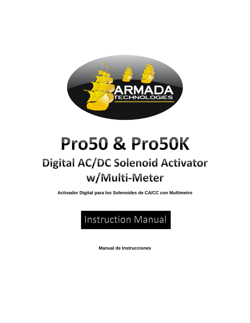

# **Pro50 & Pro50K**

# **Digital AC/DC Solenoid Activator** w/Multi-Meter

**Activador Digital para los Solenoides de CA/CC con Multímetro**

# Instruction Manual

**Manual de Instrucciones**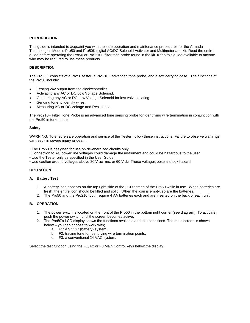# **INTRODUCTION**

This guide is intended to acquaint you with the safe operation and maintenance procedures for the Armada Technologies Models Pro50 and Pro50K digital AC/DC Solenoid Activator and Multimeter and kit. Read the entire guide before operating the Pro50 or Pro 210F filter tone probe found in the kit. Keep this guide available to anyone who may be required to use these products.

# **DESCRIPTION**

The Pro50K consists of a Pro50 tester, a Pro210F advanced tone probe, and a soft carrying case. The functions of the Pro50 include:

- Testing 24v output from the clock/controller.
- Activating any AC or DC Low Voltage Solenoid.
- Chattering any AC or DC Low Voltage Solenoid for lost valve locating.
- Sending tone to identify wires.
- Measuring AC or DC Voltage and Resistance.

The Pro210F Filter Tone Probe is an advanced tone sensing probe for identifying wire termination in conjunction with the Pro50 in tone mode.

# **Safety**

WARNING: To ensure safe operation and service of the Tester, follow these instructions. Failure to observe warnings can result in severe injury or death.

- The Pro50 is designed for use on de-energized circuits only.
- Connection to AC power line voltages could damage the instrument and could be hazardous to the user
- Use the Tester only as specified in the User Guide.
- Use caution around voltages above 30 V ac rms, or 60 V dc. These voltages pose a shock hazard.

# **OPERATION**

# **A. Battery Test**

- 1. A battery icon appears on the top right side of the LCD screen of the Pro50 while in use. When batteries are fresh, the entire icon should be filled and solid. When the icon is empty, so are the batteries.
- 2. The Pro50 and the Pro210f both require 4 AA batteries each and are inserted on the back of each unit.

# **B. OPERATION**

- 1. The power switch is located on the front of the Pro50 in the bottom right corner (see diagram). To activate, push the power switch until the screen becomes active.
- 2. The Pro50's LCD display shows the functions available and test conditions. The main screen is shown below – you can choose to work with;
	- a. F1: a 9 VDC (battery) system.
	- b. F2: tracing tone for identifying wire termination points.
	- c. F3: a conventional 24 VAC system.

Select the test function using the F1, F2 or F3 Main Control keys below the display.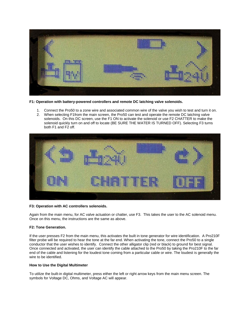

**F1: Operation with battery-powered controllers and remote DC latching valve solenoids.**

- 1. Connect the Pro50 to a zone wire and associated common wire of the valve you wish to test and turn it on.
- 2. When selecting F1from the main screen, the Pro50 can test and operate the remote DC latching valve solenoids. On this DC screen, use the F1 ON to activate the solenoid or use F2 CHATTER to make the solenoid quickly turn on and off to locate (BE SURE THE WATER IS TURNED OFF). Selecting F3 turns both F1 and F2 off.



# **F3: Operation with AC controllers solenoids.**

Again from the main menu, for AC valve actuation or chatter, use F3. This takes the user to the AC solenoid menu. Once on this menu, the instructions are the same as above.

# **F2: Tone Generation.**

If the user presses F2 from the main menu, this activates the built in tone generator for wire identification. A Pro210F filter probe will be required to hear the tone at the far end. When activating the tone, connect the Pro50 to a single conductor that the user wishes to identify. Connect the other alligator clip (red or black) to ground for best signal. Once connected and activated, the user can identify the cable attached to the Pro50 by taking the Pro210F to the far end of the cable and listening for the loudest tone coming from a particular cable or wire. The loudest is generally the wire to be identified.

# **How to Use the Digital Multimeter**

To utilize the built-in digital multimeter, press either the left or right arrow keys from the main menu screen. The symbols for Voltage DC, Ohms, and Voltage AC will appear.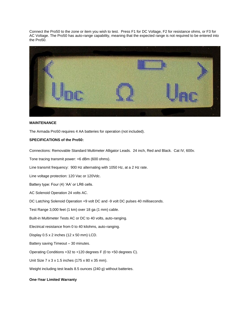Connect the Pro50 to the zone or item you wish to test. Press F1 for DC Voltage, F2 for resistance ohms, or F3 for AC Voltage. The Pro50 has auto-range capability, meaning that the expected range is not required to be entered into the Pro50.



# **MAINTENANCE**

The Armada Pro50 requires 4 AA batteries for operation (not included).

# **SPECIFICATIONS of the Pro50:**

Connections: Removable Standard Multimeter Alligator Leads. 24 inch, Red and Black. Cat IV, 600v.

Tone tracing transmit power: +6 dBm (600 ohms).

Line transmit frequency: 900 Hz alternating with 1050 Hz, at a 2 Hz rate.

Line voltage protection: 120 Vac or 120Vdc.

Battery type: Four (4) 'AA' or LR6 cells.

AC Solenoid Operation 24 volts AC.

DC Latching Solenoid Operation +9 volt DC and -9 volt DC pulses 40 milliseconds.

Test Range 3,000 feet (1 km) over 18 ga (1 mm) cable.

Built-in Multimeter Tests AC or DC to 40 volts, auto-ranging.

Electrical resistance from 0 to 40 kilohms, auto-ranging.

Display 0.5 x 2 inches (12 x 50 mm) LCD.

Battery saving Timeout – 30 minutes.

Operating Conditions +32 to +120 degrees F (0 to +50 degrees C).

Unit Size 7 x 3 x 1.5 inches (175 x 80 x 35 mm).

Weight including test leads 8.5 ounces (240 g) without batteries.

#### **One-Year Limited Warranty**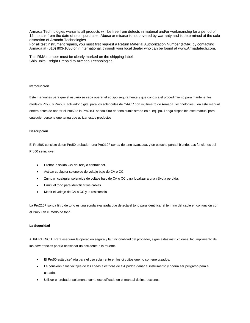Armada Technologies warrants all products will be free from defects in material and/or workmanship for a period of 12 months from the date of retail purchase. Abuse or misuse is not covered by warranty and is determined at the sole discretion of Armada Technologies.

For all test instrument repairs, you must first request a Return Material Authorization Number (RMA) by contacting Armada at (616) 803-1080 or if international, through your local dealer who can be found at www.Armadatech.com.

This RMA number must be clearly marked on the shipping label. Ship units Freight Prepaid to Armada Technologies.

#### **Introducción**

Este manual es para que el usuario se sepa operar el equipo seguramente y que conozca el procedimiento para mantener los modelos Pro50 y Pro50K activador digital para los solenoides de CA/CC con multímetro de Armada Technologies. Lea este manual entero antes de operar el Pro50 o la Pro210F sonda filtro de tono suministrado en el equipo. Tenga disponible este manual para cualquier persona que tenga que utilizar estos productos.

#### **Descripción**

El Pro50K consiste de un Pro50 probador, una Pro210F sonda de tono avanzada, y un estuche portátil blando. Las funciones del Pro50 se incluye:

- Probar la solida 24v del reloj o controlador.
- Activar cualquier solenoide de voltaje bajo de CA o CC.
- Zumbar cualquier solenoide de voltaje bajo de CA o CC para localizar a una válvula perdida.
- Emitir el tono para identificar los cables.
- Medir el voltaje de CA o CC y la resistencia

La Pro210F sonda filtro de tono es una sonda avanzada que detecta el tono para identificar el termino del cable en conjunción con el Pro50 en el modo de tono.

#### **La Seguridad**

ADVERTENCIA: Para asegurar la operación segura y la funcionalidad del probador, sigue estas instrucciones. Incumplimiento de las advertencias podría ocasionar un accidente o la muerte.

- El Pro50 está diseñada para el uso solamente en los circuitos que no son energizados.
- La conexión a los voltajes de las líneas eléctricas de CA podría dañar el instrumento y podría ser peligroso para el usuario.
- Utilizar el probador solamente como especificado en el manual de instrucciones.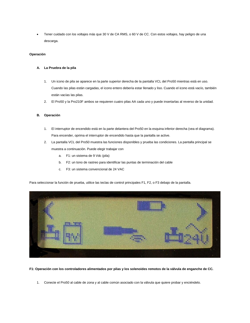Tener cuidado con los voltajes más que 30 V de CA RMS, o 60 V de CC. Con estos voltajes, hay peligro de una descarga.

# **Operación**

# **A. La Pruebra de la pila**

- 1. Un icono de pila se aparece en la parte superior derecha de la pantalla VCL del Pro50 mientras está en uso. Cuando las pilas están cargadas, el icono entero debería estar llenado y liso. Cuando el icono está vacío, también están vacías las pilas.
- 2. El Pro50 y la Pro210F ambos se requieren cuatro pilas AA cada uno y puede insertarlas al reverso de la unidad.

# **B. Operación**

- 1. El interruptor de encendido está en la parte delantera del Pro50 en la esquina inferior derecha (vea el diagrama). Para encender, oprima el interruptor de encendido hasta que la pantalla se active.
- 2. La pantalla VCL del Pro50 muestra las funciones disponibles y prueba las condiciones. La pantalla principal se muestra a continuación. Puede elegir trabajar con
	- a. F1: un sistema de 9 Vdc (pila)
	- b. F2: un tono de rastreo para identificar las puntas de terminación del cable
	- c. F3: un sistema convencional de 24 VAC

Para seleccionar la función de prueba, utilice las teclas de control principales F1, F2, o F3 debajo de la pantalla.



**F1: Operación con los controladores alimentados por pilas y los solenoides remotos de la válvula de enganche de CC.**

1. Conecte el Pro50 al cable de zona y al cable común asociado con la válvula que quiere probar y enciéndelo.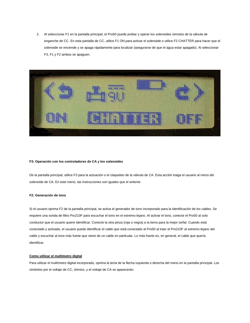2. Al seleccionar F1 en la pantalla principal, el Pro50 puede probar y operar los solenoides remotos de la válvula de enganche de CC. En esta pantalla de CC, utilice F1 ON para activar el solenoide o utilice F2 CHATTER para hacer que el solenoide se enciende y se apaga rápidamente para localizar (asegurarse de que el agua estar apagado). Al seleccionar F3, F1 y F2 ambos se apaguen.



# **F3: Operación con los controladores de CA y los solenoides**

De la pantalla principal, utilice F3 para la actuación o el claqueteo de la válvula de CA. Esta acción traiga el usuario al menú del solenoide de CA. En este menú, las instrucciones son iguales que el anterior.

# **F2: Generación de tono**

Si el usuario oprima F2 de la pantalla principal, se activa el generador de tono incorporado para la identificación de los cables. Se requiere una sonda de filtro Pro210F para escuchar el tono en el extremo lejano. Al activar el tono, conecte el Pro50 al solo conductor que el usuario quiere identificar. Conecte la otra pinza (roja o negra) a la tierra para la mejor señal. Cuando está conectado y activado, el usuario puede identificar el cable que está conectado al Pro50 al traer el Pro210F al extremo lejano del cable y escuchar al tono más fuerte que viene de un cable en particular. Lo más fuerte es, en general, el cable que quería identificar.

# **Como utilizar el multímetro digital**

Para utilizar el multímetro digital incorporado, oprima la tecla de la flecha izquierda o derecha del menú en la pantalla principal. Los símbolos por el voltaje de CC, ohmios, y el voltaje de CA se aparecerán.